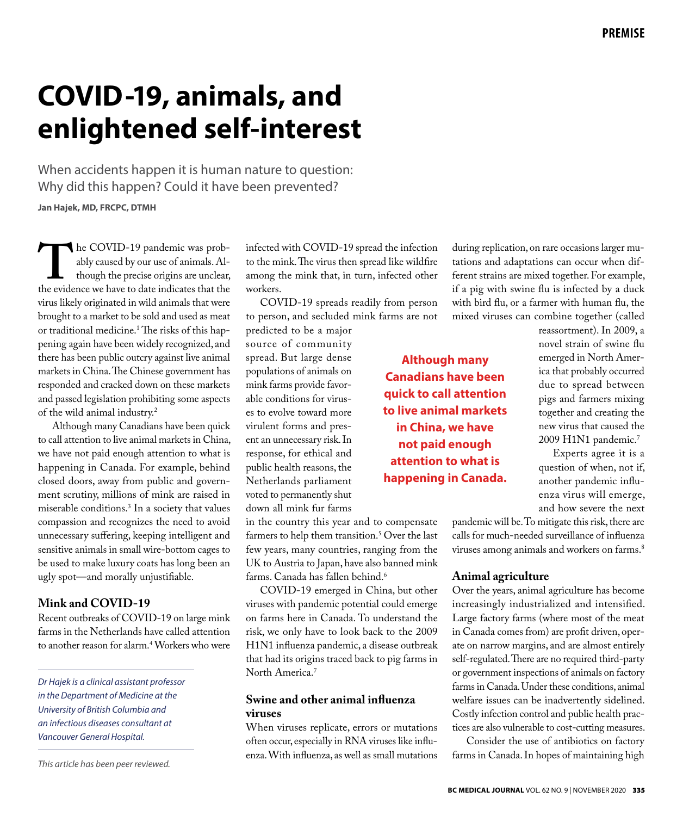# **COVID-19, animals, and enlightened self-interest**

When accidents happen it is human nature to question: Why did this happen? Could it have been prevented?

**Jan Hajek, MD, FRCPC, DTMH**

The COVID-19 pandemic was prob-<br>ably caused by our use of animals. Al-<br>though the precise origins are unclear,<br>the evidence we have to date indicates that the ably caused by our use of animals. Although the precise origins are unclear, the evidence we have to date indicates that the virus likely originated in wild animals that were brought to a market to be sold and used as meat or traditional medicine.1 The risks of this happening again have been widely recognized, and there has been public outcry against live animal markets in China. The Chinese government has responded and cracked down on these markets and passed legislation prohibiting some aspects of the wild animal industry.2

Although many Canadians have been quick to call attention to live animal markets in China, we have not paid enough attention to what is happening in Canada. For example, behind closed doors, away from public and government scrutiny, millions of mink are raised in miserable conditions.3 In a society that values compassion and recognizes the need to avoid unnecessary suffering, keeping intelligent and sensitive animals in small wire-bottom cages to be used to make luxury coats has long been an ugly spot—and morally unjustifiable.

# **Mink and COVID-19**

Recent outbreaks of COVID-19 on large mink farms in the Netherlands have called attention to another reason for alarm.<sup>4</sup> Workers who were

*Dr Hajek is a clinical assistant professor in the Department of Medicine at the University of British Columbia and an infectious diseases consultant at Vancouver General Hospital.*

*This article has been peer reviewed.*

infected with COVID-19 spread the infection to the mink. The virus then spread like wildfire among the mink that, in turn, infected other workers.

COVID-19 spreads readily from person to person, and secluded mink farms are not

predicted to be a major source of community spread. But large dense populations of animals on mink farms provide favorable conditions for viruses to evolve toward more virulent forms and present an unnecessary risk. In response, for ethical and public health reasons, the Netherlands parliament voted to permanently shut down all mink fur farms

in the country this year and to compensate farmers to help them transition.5 Over the last few years, many countries, ranging from the UK to Austria to Japan, have also banned mink farms. Canada has fallen behind.<sup>6</sup>

COVID-19 emerged in China, but other viruses with pandemic potential could emerge on farms here in Canada. To understand the risk, we only have to look back to the 2009 H1N1 influenza pandemic, a disease outbreak that had its origins traced back to pig farms in North America.7

# **Swine and other animal influenza viruses**

When viruses replicate, errors or mutations often occur, especially in RNA viruses like influenza. With influenza, as well as small mutations during replication, on rare occasions larger mutations and adaptations can occur when different strains are mixed together. For example, if a pig with swine flu is infected by a duck with bird flu, or a farmer with human flu, the mixed viruses can combine together (called

reassortment). In 2009, a novel strain of swine flu emerged in North America that probably occurred due to spread between pigs and farmers mixing together and creating the new virus that caused the 2009 H1N1 pandemic.7

Experts agree it is a question of when, not if, another pandemic influenza virus will emerge, and how severe the next

pandemic will be. To mitigate this risk, there are calls for much-needed surveillance of influenza viruses among animals and workers on farms.<sup>8</sup>

## **Animal agriculture**

**Although many Canadians have been quick to call attention to live animal markets in China, we have not paid enough attention to what is happening in Canada.** 

> Over the years, animal agriculture has become increasingly industrialized and intensified. Large factory farms (where most of the meat in Canada comes from) are profit driven, operate on narrow margins, and are almost entirely self-regulated. There are no required third-party or government inspections of animals on factory farms in Canada. Under these conditions, animal welfare issues can be inadvertently sidelined. Costly infection control and public health practices are also vulnerable to cost-cutting measures.

> Consider the use of antibiotics on factory farms in Canada. In hopes of maintaining high